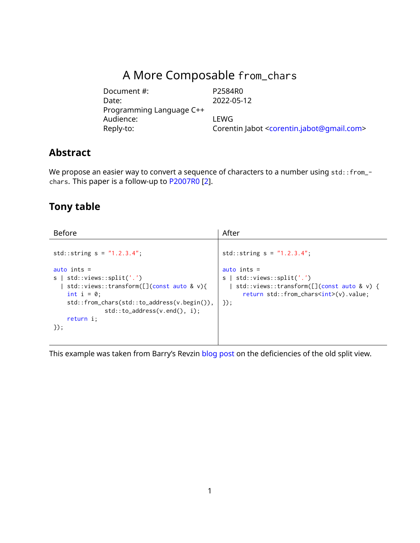# A More Composable from\_chars

Document #: P2584R0 Date: 2022-05-12 Programming Language C++ Audience: LEWG<br>Reply-to: Coren Reply-to: Corentin Jabot [<corentin.jabot@gmail.com>](mailto:corentin.jabot@gmail.com)

# **Abstract**

We propose an easier way to convert a sequence of characters to a number using std::from\_chars. This paper is a follow-up to [P2007R0](https://wg21.link/P2007R0) [\[2\]](#page-7-0).

# **Tony table**

| <b>Before</b>                                                                        | After                                                                                      |
|--------------------------------------------------------------------------------------|--------------------------------------------------------------------------------------------|
| $std::string s = "1.2.3.4":$                                                         | std::string $s = "1.2.3.4";$                                                               |
| auto ints $=$                                                                        | auto ints $=$                                                                              |
| s   std::views::split('.')                                                           | s   std::views::split('.')                                                                 |
| std::views::transform( $[]$ (const auto & v){<br>int $i = 0$ ;                       | std::views::transform([](const auto & v) {<br>return std::from_chars <int>(v).value;</int> |
| $std::from_{chars}(std::to_{address}(v.begin))$ ,<br>$std::to\_address(v.end(), i):$ | $\}$ :                                                                                     |
| return i;                                                                            |                                                                                            |
| $\}$ :                                                                               |                                                                                            |
|                                                                                      |                                                                                            |

This example was taken from Barry's Revzin [blog post](https://brevzin.github.io/c++/2020/07/06/split-view/) on the deficiencies of the old split view.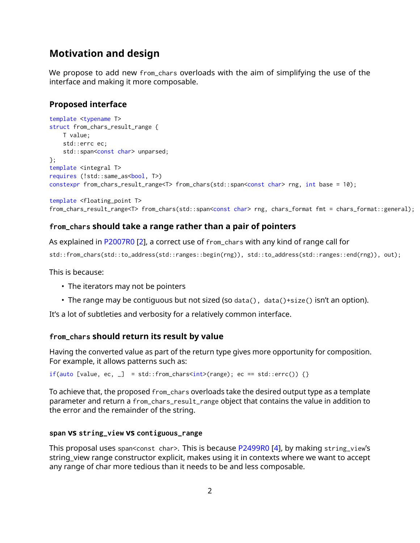# **Motivation and design**

We propose to add new from\_chars overloads with the aim of simplifying the use of the interface and making it more composable.

#### **Proposed interface**

template <floating\_point T>

```
template <typename T>
struct from_chars_result_range {
   T value;
   std::errc ec;
   std::span<const char> unparsed;
};
template <integral T>
requires (!std::same_as<br/>bool, T>)
constexpr from_chars_result_range<T> from_chars(std::span<const char> rng, int base = 10);
```

```
from_chars_result_range<T> from_chars(std::span<const char> rng, chars_format fmt = chars_format::general);
```
#### **from\_chars should take a range rather than a pair of pointers**

As explained in [P2007R0](https://wg21.link/P2007R0) [\[2\]](#page-7-0), a correct use of from\_chars with any kind of range call for

```
std::from_chars(std::to_address(std::ranges::begin(rng)), std::to_address(std::ranges::end(rng)), out);
```
This is because:

- The iterators may not be pointers
- The range may be contiguous but not sized (so data(), data()+size() isn't an option).

It's a lot of subtleties and verbosity for a relatively common interface.

#### **from\_chars should return its result by value**

Having the converted value as part of the return type gives more opportunity for composition. For example, it allows patterns such as:

if(auto [value, ec,  $\Box$ ] = std::from\_chars<int>(range); ec == std::errc()) {}

To achieve that, the proposed from\_chars overloads take the desired output type as a template parameter and return a from\_chars\_result\_range object that contains the value in addition to the error and the remainder of the string.

#### **span vs string\_view vs contiguous\_range**

This proposal uses span<const char>. This is because [P2499R0](https://wg21.link/P2499R0) [\[4\]](#page-7-1), by making string\_view's string\_view range constructor explicit, makes using it in contexts where we want to accept any range of char more tedious than it needs to be and less composable.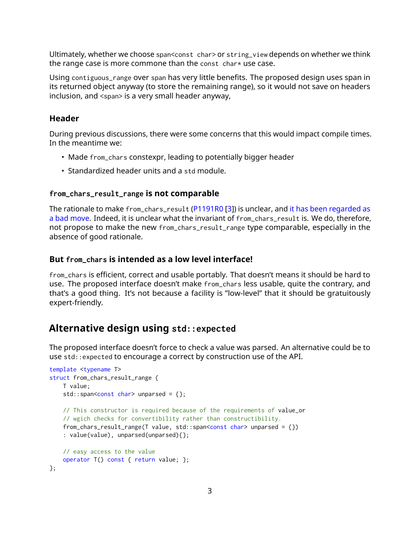Ultimately, whether we choose span<const char> or string\_view depends on whether we think the range case is more commone than the const char\* use case.

Using contiguous\_range over span has very little benefits. The proposed design uses span in its returned object anyway (to store the remaining range), so it would not save on headers inclusion, and <span> is a very small header anyway,

#### **Header**

During previous discussions, there were some concerns that this would impact compile times. In the meantime we:

- Made from\_chars constexpr, leading to potentially bigger header
- Standardized header units and a std module.

#### **from\_chars\_result\_range is not comparable**

The rationale to make from\_chars\_result [\(P1191R0](https://wg21.link/P1191R0) [\[3\]](#page-7-2)) is unclear, and [it has been regarded as](https://lists.isocpp.org/lib/2021/11/21141.php) [a bad move.](https://lists.isocpp.org/lib/2021/11/21141.php) Indeed, it is unclear what the invariant of from\_chars\_result is. We do, therefore, not propose to make the new from\_chars\_result\_range type comparable, especially in the absence of good rationale.

#### **But from\_chars is intended as a low level interface!**

from\_chars is efficient, correct and usable portably. That doesn't means it should be hard to use. The proposed interface doesn't make from\_chars less usable, quite the contrary, and that's a good thing. It's not because a facility is "low-level" that it should be gratuitously expert-friendly.

#### **Alternative design using std::expected**

The proposed interface doesn't force to check a value was parsed. An alternative could be to use std::expected to encourage a correct by construction use of the API.

```
template <typename T>
struct from_chars_result_range {
    T value;
    std::span<const char> unparsed = \{\};
   // This constructor is required because of the requirements of value_or
    // wgich checks for convertibility rather than constructibility.
    from_chars_result_range(T value, std::span<const char> unparsed = \{\}): value(value), unparsed(unparsed){};
   // easy access to the value
   operator T() const { return value; };
};
```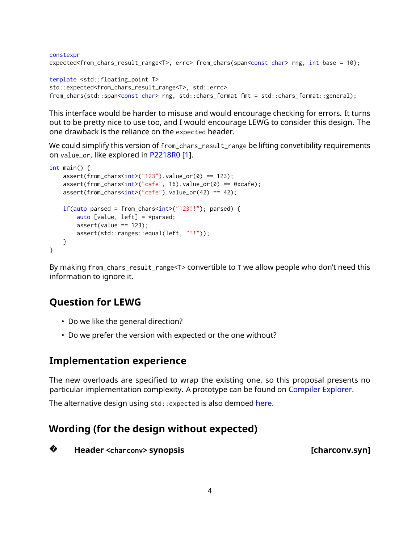```
constexpr
expected<from_chars_result_range<T>, errc> from_chars(span<const char> rng, int base = 10);
template <std::floating_point T>
```

```
std::expected<from_chars_result_range<T>, std::errc>
from_chars(std::span<const char> rng, std::chars_format fmt = std::chars_format::general);
```
This interface would be harder to misuse and would encourage checking for errors. It turns out to be pretty nice to use too, and I would encourage LEWG to consider this design. The one drawback is the reliance on the expected header.

We could simplify this version of from\_chars\_result\_range be lifting convetibility requirements on value\_or, like explored in [P2218R0](https://wg21.link/P2218R0) [\[1\]](#page-7-3).

```
int main() {
    assert(from_{char}sint>("123").value_or(0) == 123);
    assert(from_chars<int>("cafe", 16).value_or(0) == 0xcafe);
    assert(from_{char}<int>("safe") .value_{or}(42) == 42);if(auto parsed = from_chars<int>("123!!"); parsed) {
        auto [value, left] = \astparsed;
        assert(value == 123);assert(std::ranges::equal(left, "!!"));
    }
}
```
By making from\_chars\_result\_range<T> convertible to T we allow people who don't need this information to ignore it.

# **Question for LEWG**

- Do we like the general direction?
- Do we prefer the version with expected or the one without?

# **Implementation experience**

The new overloads are specified to wrap the existing one, so this proposal presents no particular implementation complexity. A prototype can be found on [Compiler Explorer.](https://godbolt.org/z/rnxE1o9Ma)

The alternative design using std:: expected is also demoed [here.](https://godbolt.org/z/c5McG9TTd)

# **Wording (for the design without expected)**

**?Header <charconv> synopsis [charconv.syn]**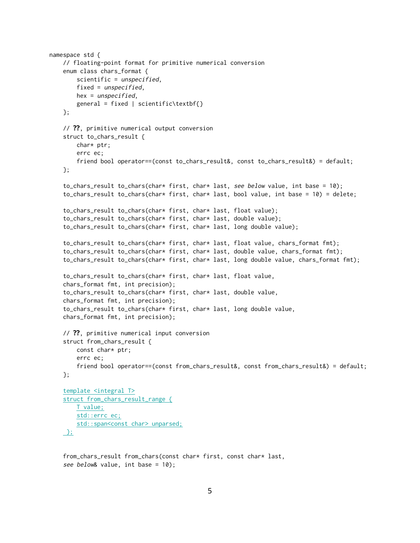```
namespace std {
    // floating-point format for primitive numerical conversion
    enum class chars_format {
        scientific = unspecified,
        fixed = unspecified,
       hex = unspecified,
       general = fixed | scientific\textbf{}
    };
    // ??, primitive numerical output conversion
    struct to_chars_result {
       char* ptr;
       errc ec;
        friend bool operator==(const to_chars_result&, const to_chars_result&) = default;
    };
    to_chars_result to_chars(char* first, char* last, see below value, int base = 10);
    to_chars_result to_chars(char* first, char* last, bool value, int base = 10) = delete;
    to_chars_result to_chars(char* first, char* last, float value);
    to_chars_result to_chars(char* first, char* last, double value);
    to_chars_result to_chars(char* first, char* last, long double value);
    to_chars_result to_chars(char* first, char* last, float value, chars_format fmt);
    to_chars_result to_chars(char* first, char* last, double value, chars_format fmt);
    to_chars_result to_chars(char* first, char* last, long double value, chars_format fmt);
    to_chars_result to_chars(char* first, char* last, float value,
    chars_format fmt, int precision);
    to_chars_result to_chars(char* first, char* last, double value,
    chars_format fmt, int precision);
    to_chars_result to_chars(char* first, char* last, long double value,
    chars_format fmt, int precision);
    // ??, primitive numerical input conversion
    struct from_chars_result {
       const char* ptr;
        errc ec;
        friend bool operator==(const from_chars_result&, const from_chars_result&) = default;
    };
    template <integral T>
    struct from_chars_result_range {
       T value;
        std::errc ec;
        std::span<const char> unparsed;
```

```
};
```
from\_chars\_result from\_chars(const char\* first, const char\* last, see below& value, int base = 10);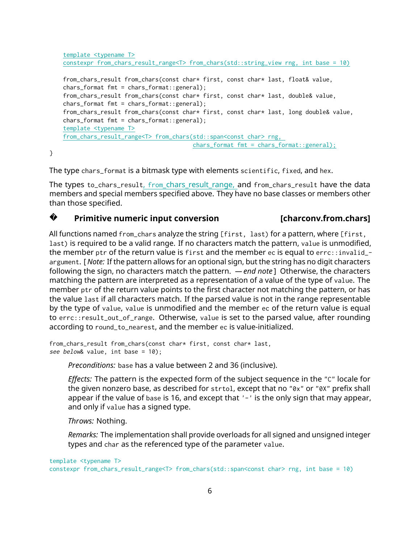```
template <typename T>
constexpr from_chars_result_range<T> from_chars(std::string_view rng, int base = 10)
from_chars_result from_chars(const char* first, const char* last, float& value,
chars_format fmt = chars_format::general);
from_chars_result from_chars(const char* first, const char* last, double& value,
chars_format fmt = chars_format::general);
from_chars_result from_chars(const char* first, const char* last, long double& value,
chars_format fmt = chars_format::general);
template <typename T>
from_chars_result_range<T> from_chars(std::span<const char> rng,
                                      chars_format fmt = chars_format::general);
```
}

The type chars\_format is a bitmask type with elements scientific, fixed, and hex.

The types to\_chars\_result, from\_chars\_result\_range, and from\_chars\_result have the data members and special members specified above. They have no base classes or members other than those specified.

#### **?Primitive numeric input conversion [charconv.from.chars]**

All functions named from\_chars analyze the string [first, last) for a pattern, where [first, last) is required to be a valid range. If no characters match the pattern, value is unmodified, the member ptr of the return value is first and the member ec is equal to errc::invalid\_argument. [ *Note:* If the pattern allows for an optional sign, but the string has no digit characters following the sign, no characters match the pattern. *— end note* ] Otherwise, the characters matching the pattern are interpreted as a representation of a value of the type of value. The member ptr of the return value points to the first character not matching the pattern, or has the value last if all characters match. If the parsed value is not in the range representable by the type of value, value is unmodified and the member ec of the return value is equal to errc::result\_out\_of\_range. Otherwise, value is set to the parsed value, after rounding according to round\_to\_nearest, and the member ec is value-initialized.

```
from_chars_result from_chars(const char* first, const char* last,
see below& value, int base = 10);
```
*Preconditions:* base has a value between 2 and 36 (inclusive).

*Effects:* The pattern is the expected form of the subject sequence in the "C" locale for the given nonzero base, as described for strtol, except that no "0x" or "0X" prefix shall appear if the value of base is 16, and except that '-' is the only sign that may appear, and only if value has a signed type.

*Throws:* Nothing.

*Remarks:* The implementation shall provide overloads for all signed and unsigned integer types and char as the referenced type of the parameter value.

template <typename T> constexpr from\_chars\_result\_range<T> from\_chars(std::span<const char> rng, int base = 10)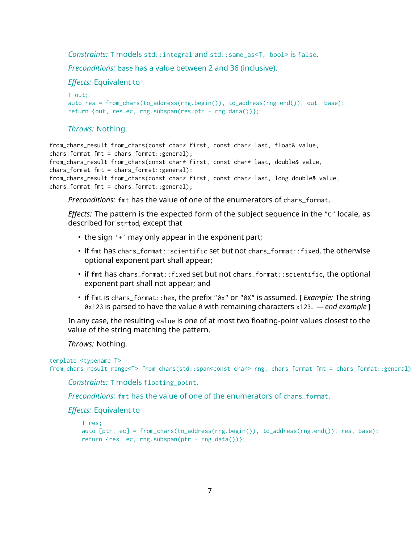*Constraints:* T models std::integral and std::same\_as<T, bool> is false.

*Preconditions:* base has a value between 2 and 36 (inclusive).

*Effects:* Equivalent to

```
T out;
auto res = from_chars(to_address(rng.begin()), to_address(rng.end()), out, base);
return {out, res.ec, rng.subspan(res.ptr - rng.data())};
```
#### *Throws:* Nothing.

```
from_chars_result from_chars(const char* first, const char* last, float& value,
chars_format fmt = chars_format::general);
from_chars_result from_chars(const char* first, const char* last, double& value,
chars_format fmt = chars_format::general);
from_chars_result from_chars(const char* first, const char* last, long double& value,
chars_format fmt = chars_format::general);
```
*Preconditions:* fmt has the value of one of the enumerators of chars\_format.

*Effects:* The pattern is the expected form of the subject sequence in the "C" locale, as described for strtod, except that

- the sign '+' may only appear in the exponent part;
- if fmt has chars\_format::scientific set but not chars\_format::fixed, the otherwise optional exponent part shall appear;
- if fmt has chars\_format::fixed set but not chars\_format::scientific, the optional exponent part shall not appear; and
- if fmt is chars\_format::hex, the prefix "0x" or "0X" is assumed. [ *Example:* The string 0x123 is parsed to have the value 0 with remaining characters x123. *— end example* ]

In any case, the resulting value is one of at most two floating-point values closest to the value of the string matching the pattern.

*Throws:* Nothing.

```
template <typename T>
from_chars_result_range<T> from_chars(std::span<const char> rng, chars_format fmt = chars_format::general)
```
*Constraints:* T models floating\_point.

*Preconditions:* fmt has the value of one of the enumerators of chars\_format.

*Effects:* Equivalent to

```
T res;
auto [ptr, ec] = from_chars(to_address(rng.begin()), to_address(rng.end()), res, base);
return {res, ec, rng.subspan(ptr - rng.data())};
```